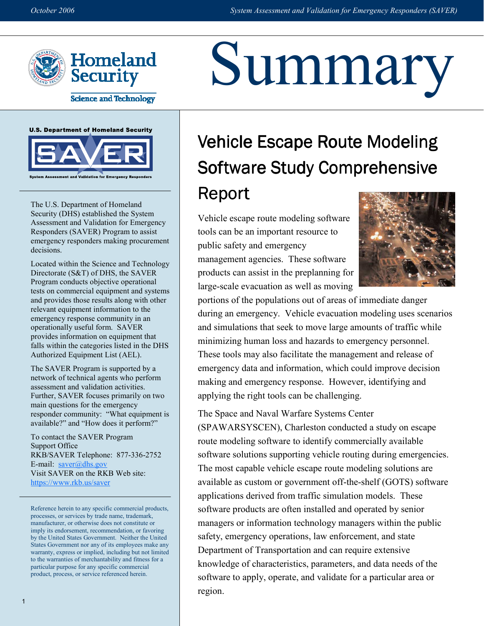Summary



**Science and Technology** 





The U.S. Department of Homeland Security (DHS) established the System Assessment and Validation for Emergency Responders (SAVER) Program to assist emergency responders making procurement decisions.

Located within the Science and Technology Directorate (S&T) of DHS, the SAVER Program conducts objective operational tests on commercial equipment and systems and provides those results along with other relevant equipment information to the emergency response community in an operationally useful form. SAVER provides information on equipment that falls within the categories listed in the DHS Authorized Equipment List (AEL).

The SAVER Program is supported by a network of technical agents who perform assessment and validation activities. Further, SAVER focuses primarily on two main questions for the emergency responder community: "What equipment is available?" and "How does it perform?"

To contact the SAVER Program Support Office RKB/SAVER Telephone: 877-336-2752 E-mail:  $saver@dhs.gov$ Visit SAVER on the RKB Web site: https://www.rkb.us/saver

Reference herein to any specific commercial products, processes, or services by trade name, trademark, manufacturer, or otherwise does not constitute or imply its endorsement, recommendation, or favoring by the United States Government. Neither the United States Government nor any of its employees make any warranty, express or implied, including but not limited to the warranties of merchantability and fitness for a particular purpose for any specific commercial product, process, or service referenced herein.

# Vehicle Escape Route Modeling Software Study Comprehensive Report

Vehicle escape route modeling software tools can be an important resource to public safety and emergency management agencies. These software products can assist in the preplanning for large-scale evacuation as well as moving



portions of the populations out of areas of immediate danger during an emergency. Vehicle evacuation modeling uses scenarios and simulations that seek to move large amounts of traffic while minimizing human loss and hazards to emergency personnel. These tools may also facilitate the management and release of emergency data and information, which could improve decision making and emergency response. However, identifying and applying the right tools can be challenging.

The Space and Naval Warfare Systems Center (SPAWARSYSCEN), Charleston conducted a study on escape route modeling software to identify commercially available software solutions supporting vehicle routing during emergencies. The most capable vehicle escape route modeling solutions are available as custom or government off-the-shelf (GOTS) software applications derived from traffic simulation models. These software products are often installed and operated by senior managers or information technology managers within the public safety, emergency operations, law enforcement, and state Department of Transportation and can require extensive knowledge of characteristics, parameters, and data needs of the software to apply, operate, and validate for a particular area or region.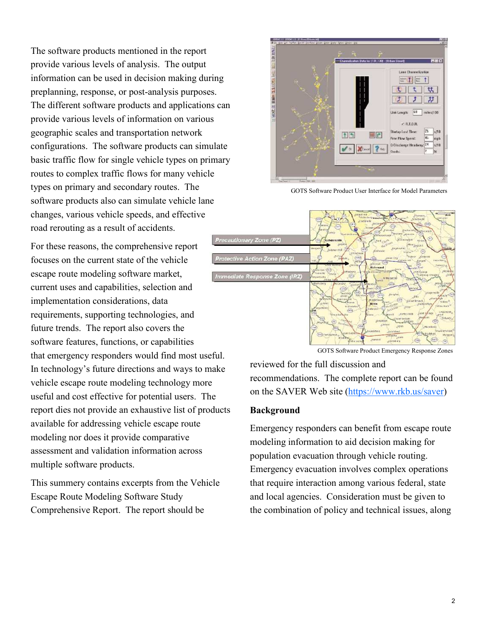The software products mentioned in the report provide various levels of analysis. The output information can be used in decision making during preplanning, response, or post-analysis purposes. The different software products and applications can provide various levels of information on various geographic scales and transportation network configurations. The software products can simulate basic traffic flow for single vehicle types on primary routes to complex traffic flows for many vehicle types on primary and secondary routes. The software products also can simulate vehicle lane changes, various vehicle speeds, and effective road rerouting as a result of accidents.

 For these reasons, the comprehensive report focuses on the current state of the vehicle escape route modeling software market, current uses and capabilities, selection and implementation considerations, data requirements, supporting technologies, and future trends. The report also covers the software features, functions, or capabilities that emergency responders would find most useful. In technology's future directions and ways to make vehicle escape route modeling technology more useful and cost effective for potential users. The report dies not provide an exhaustive list of products available for addressing vehicle escape route modeling nor does it provide comparative assessment and validation information across multiple software products.

 This summery contains excerpts from the Vehicle Escape Route Modeling Software Study Comprehensive Report. The report should be



GOTS Software Product User Interface for Model Parameters



GOTS Software Product Emergency Response Zones

 reviewed for the full discussion and recommendations. The complete report can be found on the SAVER Web site (https://www.rkb.us/saver)

#### Background

 Emergency responders can benefit from escape route modeling information to aid decision making for population evacuation through vehicle routing. Emergency evacuation involves complex operations that require interaction among various federal, state and local agencies. Consideration must be given to the combination of policy and technical issues, along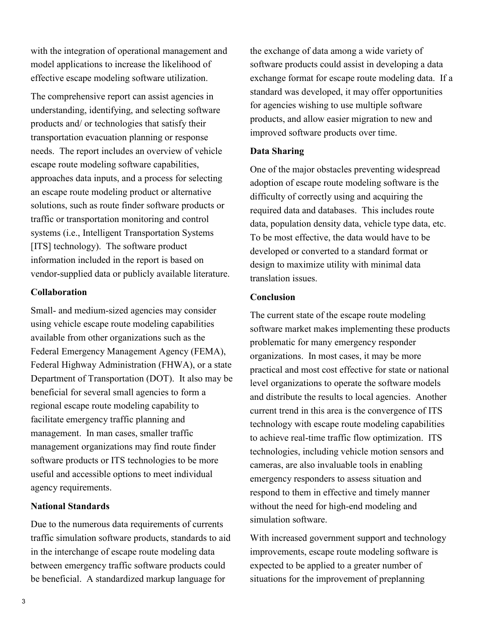with the integration of operational management and model applications to increase the likelihood of effective escape modeling software utilization.

 The comprehensive report can assist agencies in understanding, identifying, and selecting software products and/ or technologies that satisfy their transportation evacuation planning or response needs. The report includes an overview of vehicle escape route modeling software capabilities, approaches data inputs, and a process for selecting an escape route modeling product or alternative solutions, such as route finder software products or traffic or transportation monitoring and control systems (i.e., Intelligent Transportation Systems [ITS] technology). The software product information included in the report is based on vendor-supplied data or publicly available literature.

#### Collaboration

Small- and medium-sized agencies may consider using vehicle escape route modeling capabilities available from other organizations such as the Federal Emergency Management Agency (FEMA), Federal Highway Administration (FHWA), or a state Department of Transportation (DOT). It also may be beneficial for several small agencies to form a regional escape route modeling capability to facilitate emergency traffic planning and management. In man cases, smaller traffic management organizations may find route finder software products or ITS technologies to be more useful and accessible options to meet individual agency requirements.

### National Standards

 Due to the numerous data requirements of currents traffic simulation software products, standards to aid in the interchange of escape route modeling data between emergency traffic software products could be beneficial. A standardized markup language for

 the exchange of data among a wide variety of software products could assist in developing a data exchange format for escape route modeling data. If a standard was developed, it may offer opportunities for agencies wishing to use multiple software products, and allow easier migration to new and improved software products over time.

## Data Sharing

 One of the major obstacles preventing widespread adoption of escape route modeling software is the difficulty of correctly using and acquiring the required data and databases. This includes route data, population density data, vehicle type data, etc. To be most effective, the data would have to be developed or converted to a standard format or design to maximize utility with minimal data translation issues.

### **Conclusion**

 The current state of the escape route modeling software market makes implementing these products problematic for many emergency responder organizations. In most cases, it may be more practical and most cost effective for state or national level organizations to operate the software models and distribute the results to local agencies. Another current trend in this area is the convergence of ITS technology with escape route modeling capabilities to achieve real-time traffic flow optimization. ITS technologies, including vehicle motion sensors and cameras, are also invaluable tools in enabling emergency responders to assess situation and respond to them in effective and timely manner without the need for high-end modeling and simulation software.

 With increased government support and technology improvements, escape route modeling software is expected to be applied to a greater number of situations for the improvement of preplanning